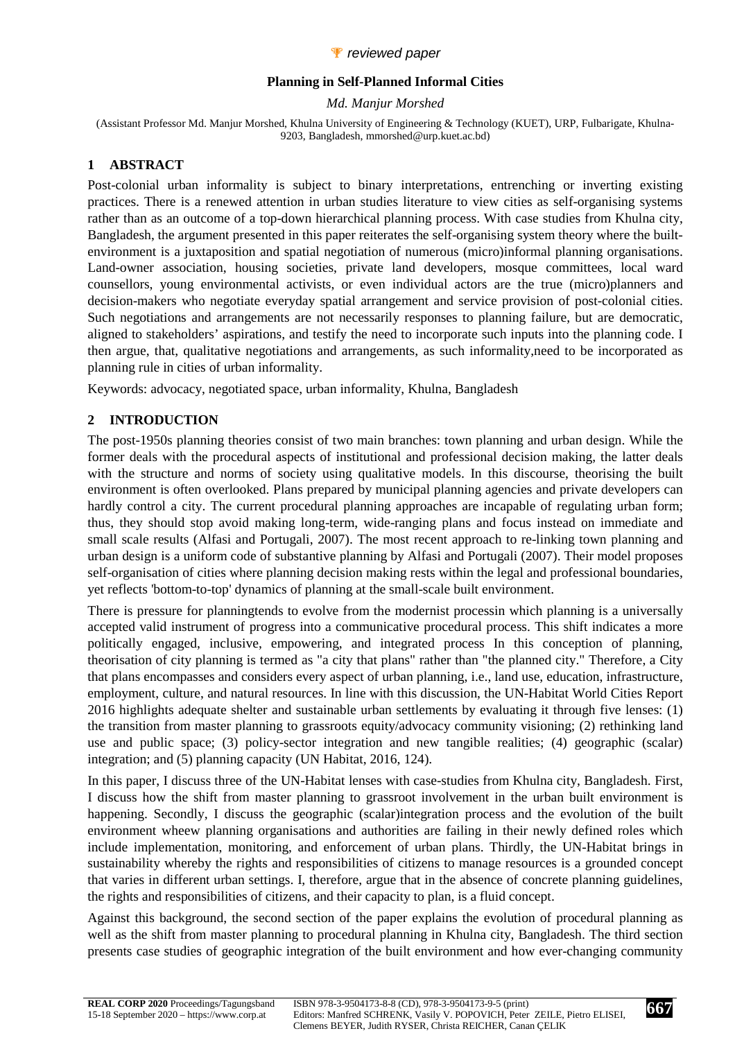

#### **Planning in Self-Planned Informal Cities**

*Md. Manjur Morshed* 

(Assistant Professor Md. Manjur Morshed, Khulna University of Engineering & Technology (KUET), URP, Fulbarigate, Khulna-9203, Bangladesh, mmorshed@urp.kuet.ac.bd)

# **1 ABSTRACT**

Post-colonial urban informality is subject to binary interpretations, entrenching or inverting existing practices. There is a renewed attention in urban studies literature to view cities as self-organising systems rather than as an outcome of a top-down hierarchical planning process. With case studies from Khulna city, Bangladesh, the argument presented in this paper reiterates the self-organising system theory where the builtenvironment is a juxtaposition and spatial negotiation of numerous (micro)informal planning organisations. Land-owner association, housing societies, private land developers, mosque committees, local ward counsellors, young environmental activists, or even individual actors are the true (micro)planners and decision-makers who negotiate everyday spatial arrangement and service provision of post-colonial cities. Such negotiations and arrangements are not necessarily responses to planning failure, but are democratic, aligned to stakeholders' aspirations, and testify the need to incorporate such inputs into the planning code. I then argue, that, qualitative negotiations and arrangements, as such informality,need to be incorporated as planning rule in cities of urban informality.

Keywords: advocacy, negotiated space, urban informality, Khulna, Bangladesh

# **2 INTRODUCTION**

The post-1950s planning theories consist of two main branches: town planning and urban design. While the former deals with the procedural aspects of institutional and professional decision making, the latter deals with the structure and norms of society using qualitative models. In this discourse, theorising the built environment is often overlooked. Plans prepared by municipal planning agencies and private developers can hardly control a city. The current procedural planning approaches are incapable of regulating urban form; thus, they should stop avoid making long-term, wide-ranging plans and focus instead on immediate and small scale results (Alfasi and Portugali, 2007). The most recent approach to re-linking town planning and urban design is a uniform code of substantive planning by Alfasi and Portugali (2007). Their model proposes self-organisation of cities where planning decision making rests within the legal and professional boundaries, yet reflects 'bottom-to-top' dynamics of planning at the small-scale built environment.

There is pressure for planningtends to evolve from the modernist processin which planning is a universally accepted valid instrument of progress into a communicative procedural process. This shift indicates a more politically engaged, inclusive, empowering, and integrated process In this conception of planning, theorisation of city planning is termed as "a city that plans" rather than "the planned city." Therefore, a City that plans encompasses and considers every aspect of urban planning, i.e., land use, education, infrastructure, employment, culture, and natural resources. In line with this discussion, the UN-Habitat World Cities Report 2016 highlights adequate shelter and sustainable urban settlements by evaluating it through five lenses: (1) the transition from master planning to grassroots equity/advocacy community visioning; (2) rethinking land use and public space; (3) policy-sector integration and new tangible realities; (4) geographic (scalar) integration; and (5) planning capacity (UN Habitat, 2016, 124).

In this paper, I discuss three of the UN-Habitat lenses with case-studies from Khulna city, Bangladesh. First, I discuss how the shift from master planning to grassroot involvement in the urban built environment is happening. Secondly, I discuss the geographic (scalar)integration process and the evolution of the built environment wheew planning organisations and authorities are failing in their newly defined roles which include implementation, monitoring, and enforcement of urban plans. Thirdly, the UN-Habitat brings in sustainability whereby the rights and responsibilities of citizens to manage resources is a grounded concept that varies in different urban settings. I, therefore, argue that in the absence of concrete planning guidelines, the rights and responsibilities of citizens, and their capacity to plan, is a fluid concept.

Against this background, the second section of the paper explains the evolution of procedural planning as well as the shift from master planning to procedural planning in Khulna city, Bangladesh. The third section presents case studies of geographic integration of the built environment and how ever-changing community

**667**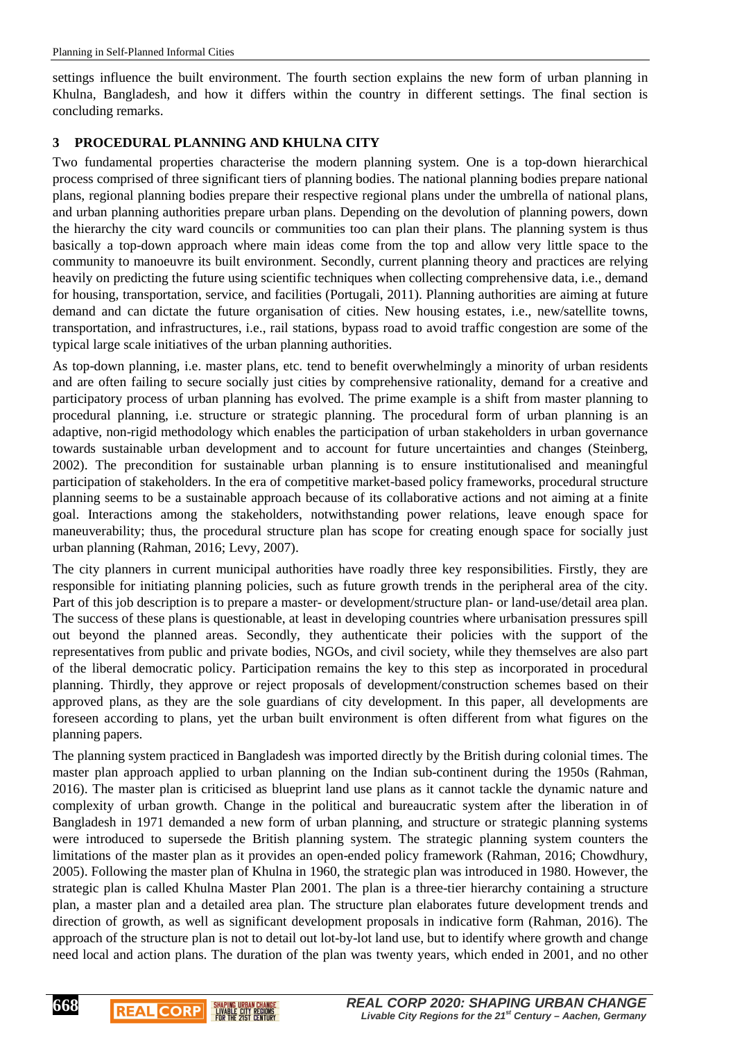settings influence the built environment. The fourth section explains the new form of urban planning in Khulna, Bangladesh, and how it differs within the country in different settings. The final section is concluding remarks.

#### **3 PROCEDURAL PLANNING AND KHULNA CITY**

Two fundamental properties characterise the modern planning system. One is a top-down hierarchical process comprised of three significant tiers of planning bodies. The national planning bodies prepare national plans, regional planning bodies prepare their respective regional plans under the umbrella of national plans, and urban planning authorities prepare urban plans. Depending on the devolution of planning powers, down the hierarchy the city ward councils or communities too can plan their plans. The planning system is thus basically a top-down approach where main ideas come from the top and allow very little space to the community to manoeuvre its built environment. Secondly, current planning theory and practices are relying heavily on predicting the future using scientific techniques when collecting comprehensive data, i.e., demand for housing, transportation, service, and facilities (Portugali, 2011). Planning authorities are aiming at future demand and can dictate the future organisation of cities. New housing estates, i.e., new/satellite towns, transportation, and infrastructures, i.e., rail stations, bypass road to avoid traffic congestion are some of the typical large scale initiatives of the urban planning authorities.

As top-down planning, i.e. master plans, etc. tend to benefit overwhelmingly a minority of urban residents and are often failing to secure socially just cities by comprehensive rationality, demand for a creative and participatory process of urban planning has evolved. The prime example is a shift from master planning to procedural planning, i.e. structure or strategic planning. The procedural form of urban planning is an adaptive, non-rigid methodology which enables the participation of urban stakeholders in urban governance towards sustainable urban development and to account for future uncertainties and changes (Steinberg, 2002). The precondition for sustainable urban planning is to ensure institutionalised and meaningful participation of stakeholders. In the era of competitive market-based policy frameworks, procedural structure planning seems to be a sustainable approach because of its collaborative actions and not aiming at a finite goal. Interactions among the stakeholders, notwithstanding power relations, leave enough space for maneuverability; thus, the procedural structure plan has scope for creating enough space for socially just urban planning (Rahman, 2016; Levy, 2007).

The city planners in current municipal authorities have roadly three key responsibilities. Firstly, they are responsible for initiating planning policies, such as future growth trends in the peripheral area of the city. Part of this job description is to prepare a master- or development/structure plan- or land-use/detail area plan. The success of these plans is questionable, at least in developing countries where urbanisation pressures spill out beyond the planned areas. Secondly, they authenticate their policies with the support of the representatives from public and private bodies, NGOs, and civil society, while they themselves are also part of the liberal democratic policy. Participation remains the key to this step as incorporated in procedural planning. Thirdly, they approve or reject proposals of development/construction schemes based on their approved plans, as they are the sole guardians of city development. In this paper, all developments are foreseen according to plans, yet the urban built environment is often different from what figures on the planning papers.

The planning system practiced in Bangladesh was imported directly by the British during colonial times. The master plan approach applied to urban planning on the Indian sub-continent during the 1950s (Rahman, 2016). The master plan is criticised as blueprint land use plans as it cannot tackle the dynamic nature and complexity of urban growth. Change in the political and bureaucratic system after the liberation in of Bangladesh in 1971 demanded a new form of urban planning, and structure or strategic planning systems were introduced to supersede the British planning system. The strategic planning system counters the limitations of the master plan as it provides an open-ended policy framework (Rahman, 2016; Chowdhury, 2005). Following the master plan of Khulna in 1960, the strategic plan was introduced in 1980. However, the strategic plan is called Khulna Master Plan 2001. The plan is a three-tier hierarchy containing a structure plan, a master plan and a detailed area plan. The structure plan elaborates future development trends and direction of growth, as well as significant development proposals in indicative form (Rahman, 2016). The approach of the structure plan is not to detail out lot-by-lot land use, but to identify where growth and change need local and action plans. The duration of the plan was twenty years, which ended in 2001, and no other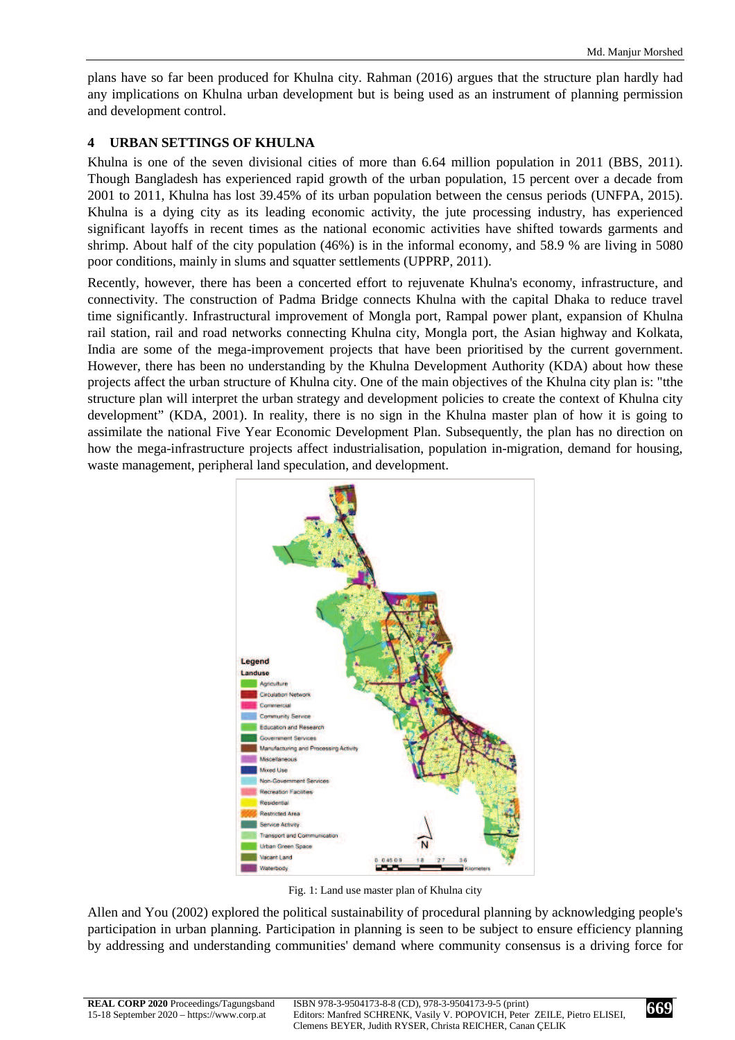plans have so far been produced for Khulna city. Rahman (2016) argues that the structure plan hardly had any implications on Khulna urban development but is being used as an instrument of planning permission and development control.

#### **4 URBAN SETTINGS OF KHULNA**

Khulna is one of the seven divisional cities of more than 6.64 million population in 2011 (BBS, 2011). Though Bangladesh has experienced rapid growth of the urban population, 15 percent over a decade from 2001 to 2011, Khulna has lost 39.45% of its urban population between the census periods (UNFPA, 2015). Khulna is a dying city as its leading economic activity, the jute processing industry, has experienced significant layoffs in recent times as the national economic activities have shifted towards garments and shrimp. About half of the city population (46%) is in the informal economy, and 58.9 % are living in 5080 poor conditions, mainly in slums and squatter settlements (UPPRP, 2011).

Recently, however, there has been a concerted effort to rejuvenate Khulna's economy, infrastructure, and connectivity. The construction of Padma Bridge connects Khulna with the capital Dhaka to reduce travel time significantly. Infrastructural improvement of Mongla port, Rampal power plant, expansion of Khulna rail station, rail and road networks connecting Khulna city, Mongla port, the Asian highway and Kolkata, India are some of the mega-improvement projects that have been prioritised by the current government. However, there has been no understanding by the Khulna Development Authority (KDA) about how these projects affect the urban structure of Khulna city. One of the main objectives of the Khulna city plan is: "tthe structure plan will interpret the urban strategy and development policies to create the context of Khulna city development" (KDA, 2001). In reality, there is no sign in the Khulna master plan of how it is going to assimilate the national Five Year Economic Development Plan. Subsequently, the plan has no direction on how the mega-infrastructure projects affect industrialisation, population in-migration, demand for housing, waste management, peripheral land speculation, and development.



Fig. 1: Land use master plan of Khulna city

Allen and You (2002) explored the political sustainability of procedural planning by acknowledging people's participation in urban planning. Participation in planning is seen to be subject to ensure efficiency planning by addressing and understanding communities' demand where community consensus is a driving force for

**669**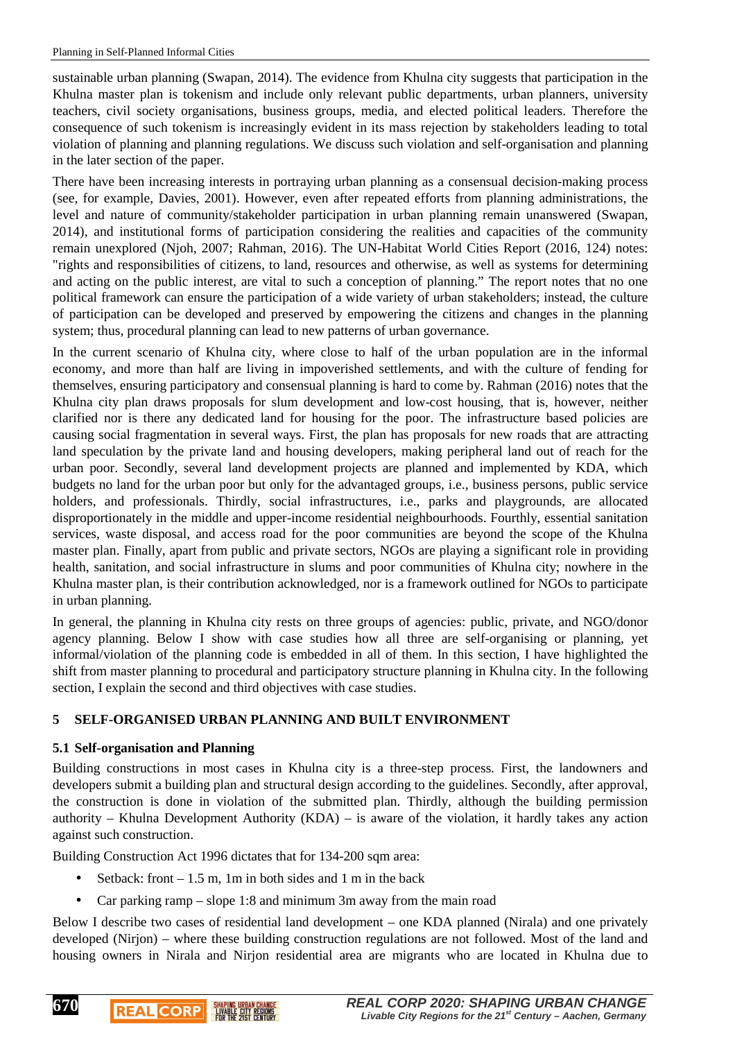sustainable urban planning (Swapan, 2014). The evidence from Khulna city suggests that participation in the Khulna master plan is tokenism and include only relevant public departments, urban planners, university teachers, civil society organisations, business groups, media, and elected political leaders. Therefore the consequence of such tokenism is increasingly evident in its mass rejection by stakeholders leading to total violation of planning and planning regulations. We discuss such violation and self-organisation and planning in the later section of the paper.

There have been increasing interests in portraying urban planning as a consensual decision-making process (see, for example, Davies, 2001). However, even after repeated efforts from planning administrations, the level and nature of community/stakeholder participation in urban planning remain unanswered (Swapan, 2014), and institutional forms of participation considering the realities and capacities of the community remain unexplored (Njoh, 2007; Rahman, 2016). The UN-Habitat World Cities Report (2016, 124) notes: "rights and responsibilities of citizens, to land, resources and otherwise, as well as systems for determining and acting on the public interest, are vital to such a conception of planning." The report notes that no one political framework can ensure the participation of a wide variety of urban stakeholders; instead, the culture of participation can be developed and preserved by empowering the citizens and changes in the planning system; thus, procedural planning can lead to new patterns of urban governance.

In the current scenario of Khulna city, where close to half of the urban population are in the informal economy, and more than half are living in impoverished settlements, and with the culture of fending for themselves, ensuring participatory and consensual planning is hard to come by. Rahman (2016) notes that the Khulna city plan draws proposals for slum development and low-cost housing, that is, however, neither clarified nor is there any dedicated land for housing for the poor. The infrastructure based policies are causing social fragmentation in several ways. First, the plan has proposals for new roads that are attracting land speculation by the private land and housing developers, making peripheral land out of reach for the urban poor. Secondly, several land development projects are planned and implemented by KDA, which budgets no land for the urban poor but only for the advantaged groups, i.e., business persons, public service holders, and professionals. Thirdly, social infrastructures, i.e., parks and playgrounds, are allocated disproportionately in the middle and upper-income residential neighbourhoods. Fourthly, essential sanitation services, waste disposal, and access road for the poor communities are beyond the scope of the Khulna master plan. Finally, apart from public and private sectors, NGOs are playing a significant role in providing health, sanitation, and social infrastructure in slums and poor communities of Khulna city; nowhere in the Khulna master plan, is their contribution acknowledged, nor is a framework outlined for NGOs to participate in urban planning.

In general, the planning in Khulna city rests on three groups of agencies: public, private, and NGO/donor agency planning. Below I show with case studies how all three are self-organising or planning, yet informal/violation of the planning code is embedded in all of them. In this section, I have highlighted the shift from master planning to procedural and participatory structure planning in Khulna city. In the following section, I explain the second and third objectives with case studies.

# **5 SELF-ORGANISED URBAN PLANNING AND BUILT ENVIRONMENT**

# **5.1 Self-organisation and Planning**

**REAL CORP** 

**670**

Building constructions in most cases in Khulna city is a three-step process. First, the landowners and developers submit a building plan and structural design according to the guidelines. Secondly, after approval, the construction is done in violation of the submitted plan. Thirdly, although the building permission authority – Khulna Development Authority (KDA) – is aware of the violation, it hardly takes any action against such construction.

Building Construction Act 1996 dictates that for 134-200 sqm area:

Setback: front  $-1.5$  m, 1m in both sides and 1 m in the back

**EIVABLE CITY REGIONS** 

• Car parking ramp – slope 1:8 and minimum 3m away from the main road

Below I describe two cases of residential land development – one KDA planned (Nirala) and one privately developed (Nirjon) – where these building construction regulations are not followed. Most of the land and housing owners in Nirala and Nirjon residential area are migrants who are located in Khulna due to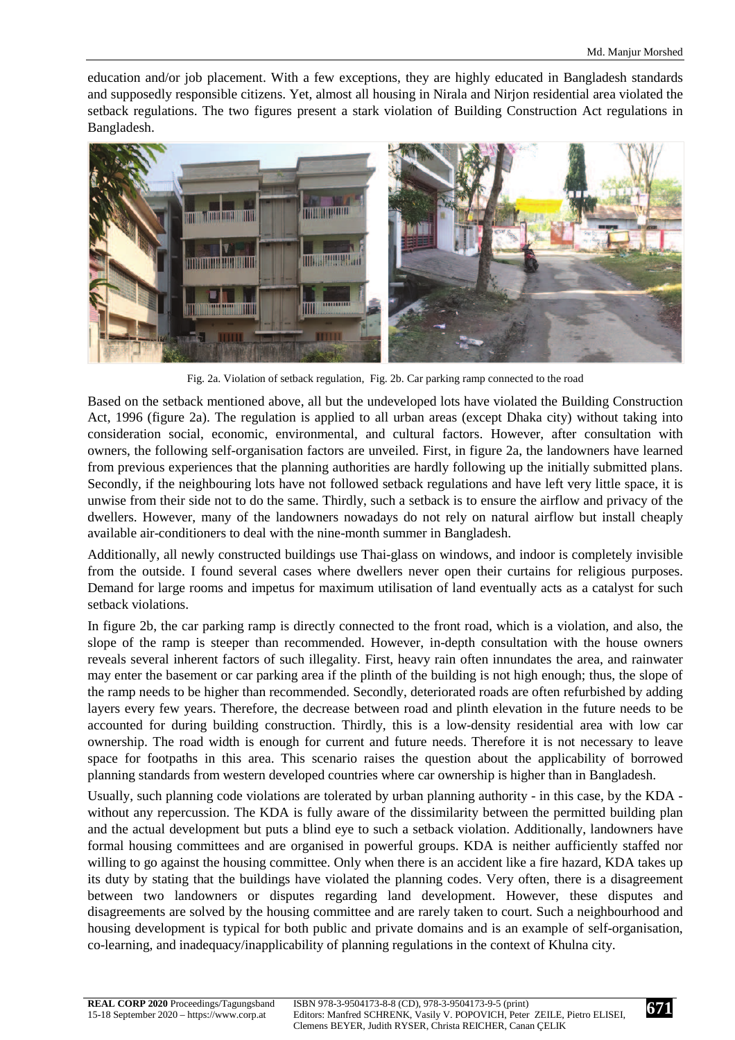education and/or job placement. With a few exceptions, they are highly educated in Bangladesh standards and supposedly responsible citizens. Yet, almost all housing in Nirala and Nirjon residential area violated the setback regulations. The two figures present a stark violation of Building Construction Act regulations in Bangladesh.



Fig. 2a. Violation of setback regulation, Fig. 2b. Car parking ramp connected to the road

Based on the setback mentioned above, all but the undeveloped lots have violated the Building Construction Act, 1996 (figure 2a). The regulation is applied to all urban areas (except Dhaka city) without taking into consideration social, economic, environmental, and cultural factors. However, after consultation with owners, the following self-organisation factors are unveiled. First, in figure 2a, the landowners have learned from previous experiences that the planning authorities are hardly following up the initially submitted plans. Secondly, if the neighbouring lots have not followed setback regulations and have left very little space, it is unwise from their side not to do the same. Thirdly, such a setback is to ensure the airflow and privacy of the dwellers. However, many of the landowners nowadays do not rely on natural airflow but install cheaply available air-conditioners to deal with the nine-month summer in Bangladesh.

Additionally, all newly constructed buildings use Thai-glass on windows, and indoor is completely invisible from the outside. I found several cases where dwellers never open their curtains for religious purposes. Demand for large rooms and impetus for maximum utilisation of land eventually acts as a catalyst for such setback violations.

In figure 2b, the car parking ramp is directly connected to the front road, which is a violation, and also, the slope of the ramp is steeper than recommended. However, in-depth consultation with the house owners reveals several inherent factors of such illegality. First, heavy rain often innundates the area, and rainwater may enter the basement or car parking area if the plinth of the building is not high enough; thus, the slope of the ramp needs to be higher than recommended. Secondly, deteriorated roads are often refurbished by adding layers every few years. Therefore, the decrease between road and plinth elevation in the future needs to be accounted for during building construction. Thirdly, this is a low-density residential area with low car ownership. The road width is enough for current and future needs. Therefore it is not necessary to leave space for footpaths in this area. This scenario raises the question about the applicability of borrowed planning standards from western developed countries where car ownership is higher than in Bangladesh.

Usually, such planning code violations are tolerated by urban planning authority - in this case, by the KDA without any repercussion. The KDA is fully aware of the dissimilarity between the permitted building plan and the actual development but puts a blind eye to such a setback violation. Additionally, landowners have formal housing committees and are organised in powerful groups. KDA is neither aufficiently staffed nor willing to go against the housing committee. Only when there is an accident like a fire hazard, KDA takes up its duty by stating that the buildings have violated the planning codes. Very often, there is a disagreement between two landowners or disputes regarding land development. However, these disputes and disagreements are solved by the housing committee and are rarely taken to court. Such a neighbourhood and housing development is typical for both public and private domains and is an example of self-organisation, co-learning, and inadequacy/inapplicability of planning regulations in the context of Khulna city.

**671**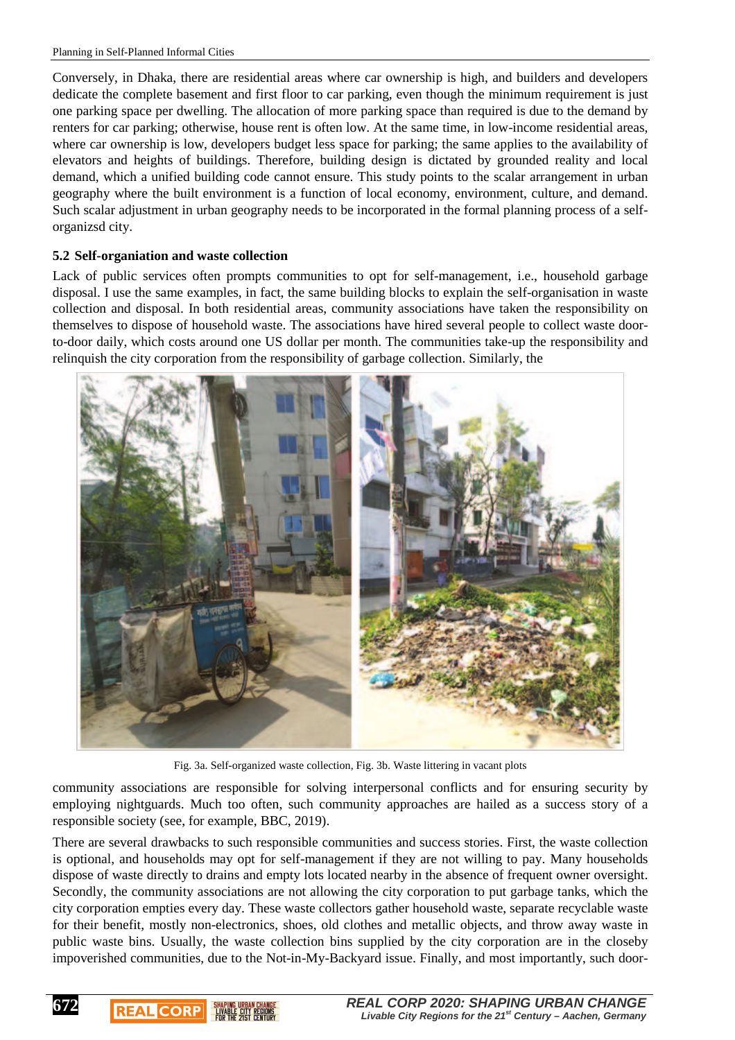Conversely, in Dhaka, there are residential areas where car ownership is high, and builders and developers dedicate the complete basement and first floor to car parking, even though the minimum requirement is just one parking space per dwelling. The allocation of more parking space than required is due to the demand by renters for car parking; otherwise, house rent is often low. At the same time, in low-income residential areas, where car ownership is low, developers budget less space for parking; the same applies to the availability of elevators and heights of buildings. Therefore, building design is dictated by grounded reality and local demand, which a unified building code cannot ensure. This study points to the scalar arrangement in urban geography where the built environment is a function of local economy, environment, culture, and demand. Such scalar adjustment in urban geography needs to be incorporated in the formal planning process of a selforganizsd city.

#### **5.2 Self-organiation and waste collection**

**672**

**REAL CORP** 

Lack of public services often prompts communities to opt for self-management, i.e., household garbage disposal. I use the same examples, in fact, the same building blocks to explain the self-organisation in waste collection and disposal. In both residential areas, community associations have taken the responsibility on themselves to dispose of household waste. The associations have hired several people to collect waste doorto-door daily, which costs around one US dollar per month. The communities take-up the responsibility and relinquish the city corporation from the responsibility of garbage collection. Similarly, the



Fig. 3a. Self-organized waste collection, Fig. 3b. Waste littering in vacant plots

community associations are responsible for solving interpersonal conflicts and for ensuring security by employing nightguards. Much too often, such community approaches are hailed as a success story of a responsible society (see, for example, BBC, 2019).

There are several drawbacks to such responsible communities and success stories. First, the waste collection is optional, and households may opt for self-management if they are not willing to pay. Many households dispose of waste directly to drains and empty lots located nearby in the absence of frequent owner oversight. Secondly, the community associations are not allowing the city corporation to put garbage tanks, which the city corporation empties every day. These waste collectors gather household waste, separate recyclable waste for their benefit, mostly non-electronics, shoes, old clothes and metallic objects, and throw away waste in public waste bins. Usually, the waste collection bins supplied by the city corporation are in the closeby impoverished communities, due to the Not-in-My-Backyard issue. Finally, and most importantly, such door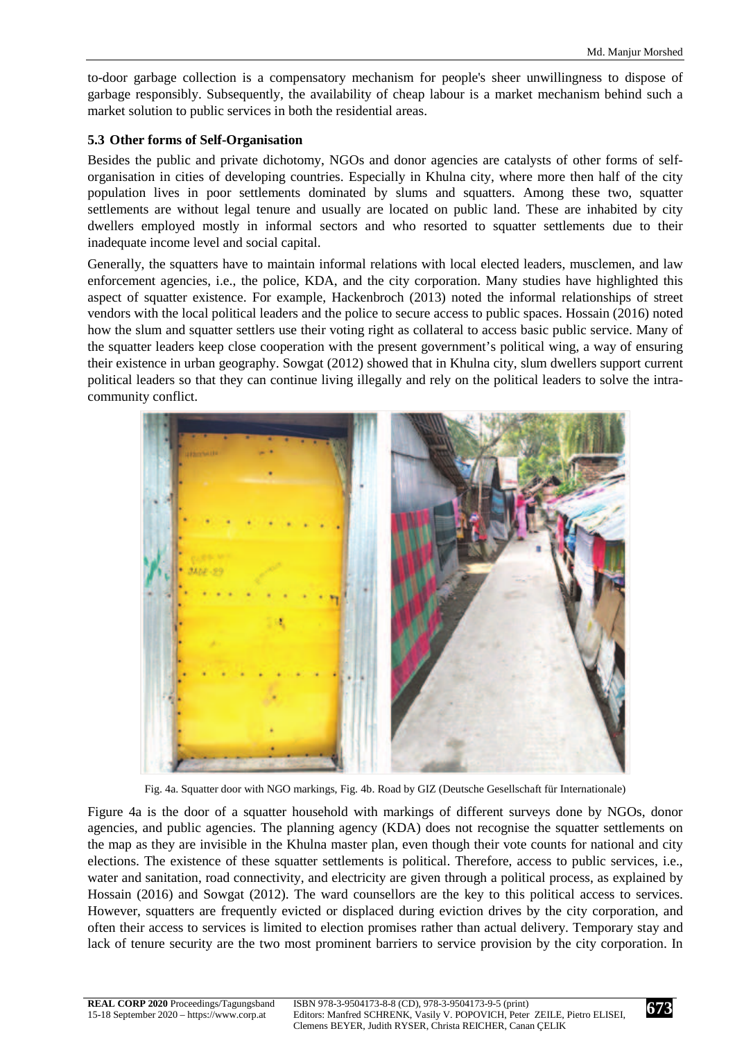to-door garbage collection is a compensatory mechanism for people's sheer unwillingness to dispose of garbage responsibly. Subsequently, the availability of cheap labour is a market mechanism behind such a market solution to public services in both the residential areas.

# **5.3 Other forms of Self-Organisation**

Besides the public and private dichotomy, NGOs and donor agencies are catalysts of other forms of selforganisation in cities of developing countries. Especially in Khulna city, where more then half of the city population lives in poor settlements dominated by slums and squatters. Among these two, squatter settlements are without legal tenure and usually are located on public land. These are inhabited by city dwellers employed mostly in informal sectors and who resorted to squatter settlements due to their inadequate income level and social capital.

Generally, the squatters have to maintain informal relations with local elected leaders, musclemen, and law enforcement agencies, i.e., the police, KDA, and the city corporation. Many studies have highlighted this aspect of squatter existence. For example, Hackenbroch (2013) noted the informal relationships of street vendors with the local political leaders and the police to secure access to public spaces. Hossain (2016) noted how the slum and squatter settlers use their voting right as collateral to access basic public service. Many of the squatter leaders keep close cooperation with the present government's political wing, a way of ensuring their existence in urban geography. Sowgat (2012) showed that in Khulna city, slum dwellers support current political leaders so that they can continue living illegally and rely on the political leaders to solve the intracommunity conflict.



Fig. 4a. Squatter door with NGO markings, Fig. 4b. Road by GIZ (Deutsche Gesellschaft für Internationale)

Figure 4a is the door of a squatter household with markings of different surveys done by NGOs, donor agencies, and public agencies. The planning agency (KDA) does not recognise the squatter settlements on the map as they are invisible in the Khulna master plan, even though their vote counts for national and city elections. The existence of these squatter settlements is political. Therefore, access to public services, i.e., water and sanitation, road connectivity, and electricity are given through a political process, as explained by Hossain (2016) and Sowgat (2012). The ward counsellors are the key to this political access to services. However, squatters are frequently evicted or displaced during eviction drives by the city corporation, and often their access to services is limited to election promises rather than actual delivery. Temporary stay and lack of tenure security are the two most prominent barriers to service provision by the city corporation. In

**673**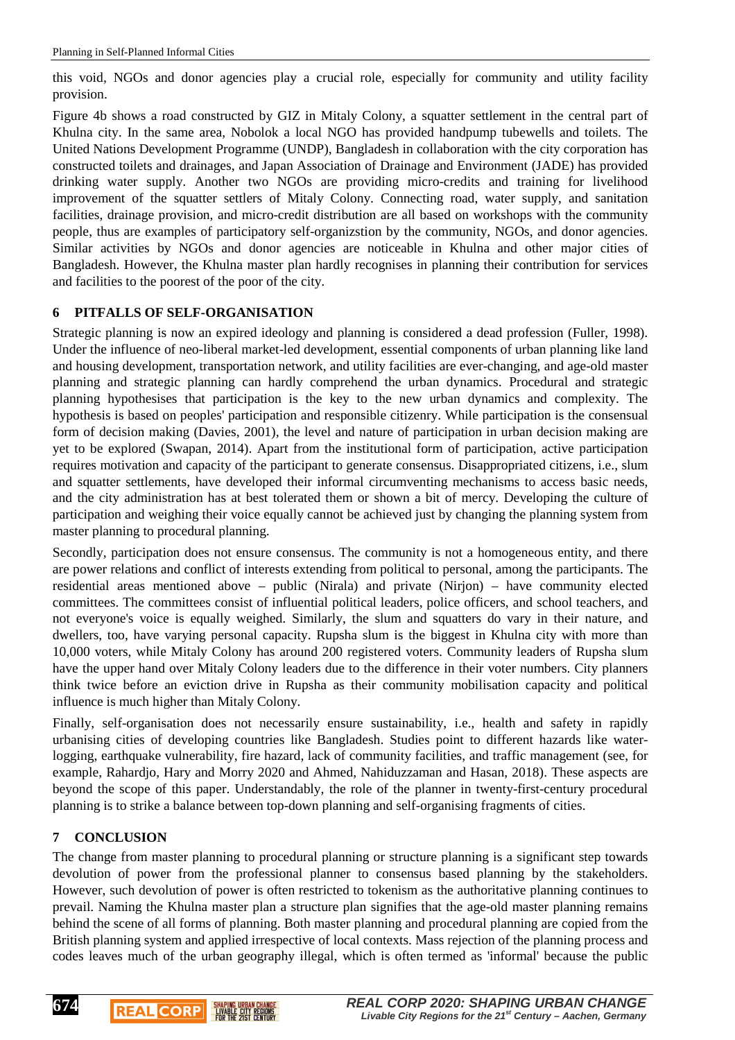this void, NGOs and donor agencies play a crucial role, especially for community and utility facility provision.

Figure 4b shows a road constructed by GIZ in Mitaly Colony, a squatter settlement in the central part of Khulna city. In the same area, Nobolok a local NGO has provided handpump tubewells and toilets. The United Nations Development Programme (UNDP), Bangladesh in collaboration with the city corporation has constructed toilets and drainages, and Japan Association of Drainage and Environment (JADE) has provided drinking water supply. Another two NGOs are providing micro-credits and training for livelihood improvement of the squatter settlers of Mitaly Colony. Connecting road, water supply, and sanitation facilities, drainage provision, and micro-credit distribution are all based on workshops with the community people, thus are examples of participatory self-organizstion by the community, NGOs, and donor agencies. Similar activities by NGOs and donor agencies are noticeable in Khulna and other major cities of Bangladesh. However, the Khulna master plan hardly recognises in planning their contribution for services and facilities to the poorest of the poor of the city.

# **6 PITFALLS OF SELF-ORGANISATION**

Strategic planning is now an expired ideology and planning is considered a dead profession (Fuller, 1998). Under the influence of neo-liberal market-led development, essential components of urban planning like land and housing development, transportation network, and utility facilities are ever-changing, and age-old master planning and strategic planning can hardly comprehend the urban dynamics. Procedural and strategic planning hypothesises that participation is the key to the new urban dynamics and complexity. The hypothesis is based on peoples' participation and responsible citizenry. While participation is the consensual form of decision making (Davies, 2001), the level and nature of participation in urban decision making are yet to be explored (Swapan, 2014). Apart from the institutional form of participation, active participation requires motivation and capacity of the participant to generate consensus. Disappropriated citizens, i.e., slum and squatter settlements, have developed their informal circumventing mechanisms to access basic needs, and the city administration has at best tolerated them or shown a bit of mercy. Developing the culture of participation and weighing their voice equally cannot be achieved just by changing the planning system from master planning to procedural planning.

Secondly, participation does not ensure consensus. The community is not a homogeneous entity, and there are power relations and conflict of interests extending from political to personal, among the participants. The residential areas mentioned above – public (Nirala) and private (Nirjon) – have community elected committees. The committees consist of influential political leaders, police officers, and school teachers, and not everyone's voice is equally weighed. Similarly, the slum and squatters do vary in their nature, and dwellers, too, have varying personal capacity. Rupsha slum is the biggest in Khulna city with more than 10,000 voters, while Mitaly Colony has around 200 registered voters. Community leaders of Rupsha slum have the upper hand over Mitaly Colony leaders due to the difference in their voter numbers. City planners think twice before an eviction drive in Rupsha as their community mobilisation capacity and political influence is much higher than Mitaly Colony.

Finally, self-organisation does not necessarily ensure sustainability, i.e., health and safety in rapidly urbanising cities of developing countries like Bangladesh. Studies point to different hazards like waterlogging, earthquake vulnerability, fire hazard, lack of community facilities, and traffic management (see, for example, Rahardjo, Hary and Morry 2020 and Ahmed, Nahiduzzaman and Hasan, 2018). These aspects are beyond the scope of this paper. Understandably, the role of the planner in twenty-first-century procedural planning is to strike a balance between top-down planning and self-organising fragments of cities.

# **7 CONCLUSION**

**REAL CORP** 

**EIVABLE CITY REGIONS** 

**674**

The change from master planning to procedural planning or structure planning is a significant step towards devolution of power from the professional planner to consensus based planning by the stakeholders. However, such devolution of power is often restricted to tokenism as the authoritative planning continues to prevail. Naming the Khulna master plan a structure plan signifies that the age-old master planning remains behind the scene of all forms of planning. Both master planning and procedural planning are copied from the British planning system and applied irrespective of local contexts. Mass rejection of the planning process and codes leaves much of the urban geography illegal, which is often termed as 'informal' because the public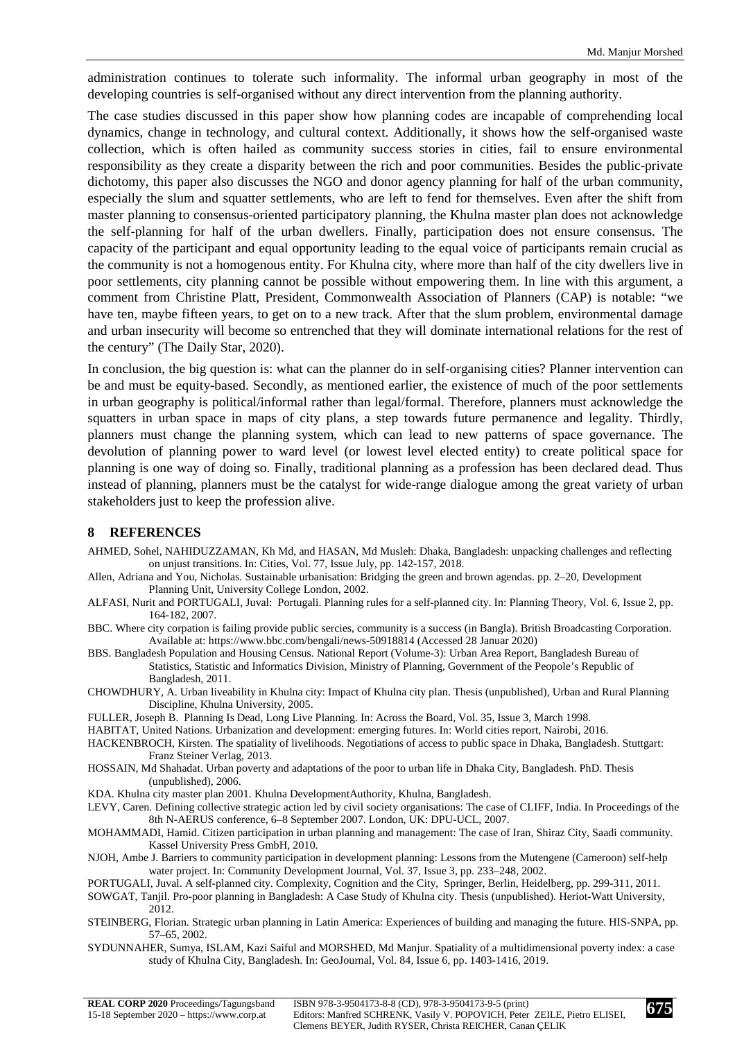administration continues to tolerate such informality. The informal urban geography in most of the developing countries is self-organised without any direct intervention from the planning authority.

The case studies discussed in this paper show how planning codes are incapable of comprehending local dynamics, change in technology, and cultural context. Additionally, it shows how the self-organised waste collection, which is often hailed as community success stories in cities, fail to ensure environmental responsibility as they create a disparity between the rich and poor communities. Besides the public-private dichotomy, this paper also discusses the NGO and donor agency planning for half of the urban community, especially the slum and squatter settlements, who are left to fend for themselves. Even after the shift from master planning to consensus-oriented participatory planning, the Khulna master plan does not acknowledge the self-planning for half of the urban dwellers. Finally, participation does not ensure consensus. The capacity of the participant and equal opportunity leading to the equal voice of participants remain crucial as the community is not a homogenous entity. For Khulna city, where more than half of the city dwellers live in poor settlements, city planning cannot be possible without empowering them. In line with this argument, a comment from Christine Platt, President, Commonwealth Association of Planners (CAP) is notable: "we have ten, maybe fifteen years, to get on to a new track. After that the slum problem, environmental damage and urban insecurity will become so entrenched that they will dominate international relations for the rest of the century" (The Daily Star, 2020).

In conclusion, the big question is: what can the planner do in self-organising cities? Planner intervention can be and must be equity-based. Secondly, as mentioned earlier, the existence of much of the poor settlements in urban geography is political/informal rather than legal/formal. Therefore, planners must acknowledge the squatters in urban space in maps of city plans, a step towards future permanence and legality. Thirdly, planners must change the planning system, which can lead to new patterns of space governance. The devolution of planning power to ward level (or lowest level elected entity) to create political space for planning is one way of doing so. Finally, traditional planning as a profession has been declared dead. Thus instead of planning, planners must be the catalyst for wide-range dialogue among the great variety of urban stakeholders just to keep the profession alive.

#### **8 REFERENCES**

- AHMED, Sohel, NAHIDUZZAMAN, Kh Md, and HASAN, Md Musleh: Dhaka, Bangladesh: unpacking challenges and reflecting on unjust transitions. In: Cities, Vol. 77, Issue July, pp. 142-157, 2018.
- Allen, Adriana and You, Nicholas. Sustainable urbanisation: Bridging the green and brown agendas. pp. 2–20, Development Planning Unit, University College London, 2002.
- ALFASI, Nurit and PORTUGALI, Juval: Portugali. Planning rules for a self-planned city. In: Planning Theory, Vol. 6, Issue 2, pp. 164-182, 2007.
- BBC. Where city corpation is failing provide public sercies, community is a success (in Bangla). British Broadcasting Corporation. Available at: https://www.bbc.com/bengali/news-50918814 (Accessed 28 Januar 2020)
- BBS. Bangladesh Population and Housing Census. National Report (Volume-3): Urban Area Report, Bangladesh Bureau of Statistics, Statistic and Informatics Division, Ministry of Planning, Government of the Peopole's Republic of Bangladesh, 2011.
- CHOWDHURY, A. Urban liveability in Khulna city: Impact of Khulna city plan. Thesis (unpublished), Urban and Rural Planning Discipline, Khulna University, 2005.
- FULLER, Joseph B. Planning Is Dead, Long Live Planning. In: Across the Board, Vol. 35, Issue 3, March 1998.
- HABITAT, United Nations. Urbanization and development: emerging futures. In: World cities report, Nairobi, 2016.
- HACKENBROCH, Kirsten. The spatiality of livelihoods. Negotiations of access to public space in Dhaka, Bangladesh. Stuttgart: Franz Steiner Verlag, 2013.
- HOSSAIN, Md Shahadat. Urban poverty and adaptations of the poor to urban life in Dhaka City, Bangladesh. PhD. Thesis (unpublished), 2006.
- KDA. Khulna city master plan 2001. Khulna DevelopmentAuthority, Khulna, Bangladesh.
- LEVY, Caren. Defining collective strategic action led by civil society organisations: The case of CLIFF, India. In Proceedings of the 8th N-AERUS conference, 6–8 September 2007. London, UK: DPU-UCL, 2007.
- MOHAMMADI, Hamid. Citizen participation in urban planning and management: The case of Iran, Shiraz City, Saadi community. Kassel University Press GmbH, 2010.
- NJOH, Ambe J. Barriers to community participation in development planning: Lessons from the Mutengene (Cameroon) self-help water project. In: Community Development Journal, Vol. 37, Issue 3, pp. 233–248, 2002.

PORTUGALI, Juval. A self-planned city. Complexity, Cognition and the City, Springer, Berlin, Heidelberg, pp. 299-311, 2011.

- SOWGAT, Tanjil. Pro-poor planning in Bangladesh: A Case Study of Khulna city. Thesis (unpublished). Heriot-Watt University, 2012.
- STEINBERG, Florian. Strategic urban planning in Latin America: Experiences of building and managing the future. HIS-SNPA, pp. 57–65, 2002.
- SYDUNNAHER, Sumya, ISLAM, Kazi Saiful and MORSHED, Md Manjur. Spatiality of a multidimensional poverty index: a case study of Khulna City, Bangladesh. In: GeoJournal, Vol. 84, Issue 6, pp. 1403-1416, 2019.

**675**